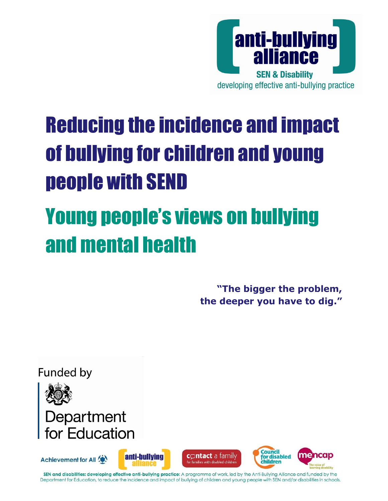

# Reducing the incidence and impact of bullying for children and young people with SEND

# Young people's views on bullying and mental health

**"The bigger the problem, the deeper you have to dig."**

Funded by





Council c**ontact** a famil\ anti-bullying *<u>for disabled</u>* Achievement for All children

SEN and disabilities: developing effective anti-bullying practice: A programme of work, led by the Anti-Bullying Alliance and funded by the Department for Education, to reduce the incidence and impact of bullying of children and young people with SEN and/or disabilities in schools.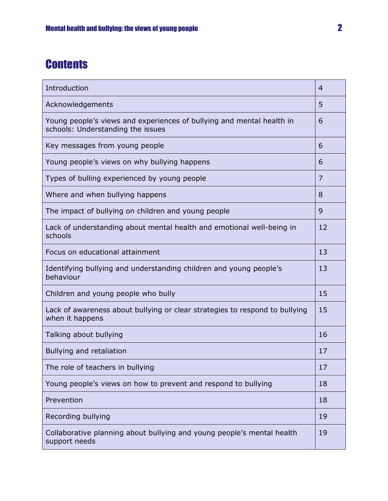# **Contents**

| Introduction                                                                                               | 4              |
|------------------------------------------------------------------------------------------------------------|----------------|
| Acknowledgements                                                                                           | 5              |
| Young people's views and experiences of bullying and mental health in<br>schools: Understanding the issues | 6              |
| Key messages from young people                                                                             | 6              |
| Young people's views on why bullying happens                                                               | 6              |
| Types of bulling experienced by young people                                                               | $\overline{7}$ |
| Where and when bullying happens                                                                            | 8              |
| The impact of bullying on children and young people                                                        | 9              |
| Lack of understanding about mental health and emotional well-being in<br>schools                           | 12             |
| Focus on educational attainment                                                                            | 13             |
| Identifying bullying and understanding children and young people's<br>behaviour                            | 13             |
| Children and young people who bully                                                                        | 15             |
| Lack of awareness about bullying or clear strategies to respond to bullying<br>when it happens             | 15             |
| Talking about bullying                                                                                     | 16             |
| Bullying and retaliation                                                                                   | 17             |
| The role of teachers in bullying                                                                           | 17             |
| Young people's views on how to prevent and respond to bullying                                             | 18             |
| Prevention                                                                                                 | 18             |
| Recording bullying                                                                                         | 19             |
| Collaborative planning about bullying and young people's mental health<br>support needs                    | 19             |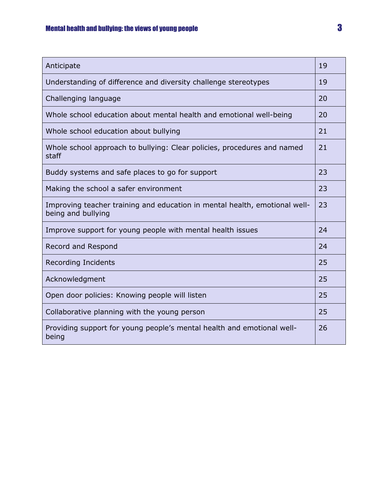## **Mental health and bullying: the views of young people**  $3$

| Anticipate                                                                                       | 19 |
|--------------------------------------------------------------------------------------------------|----|
| Understanding of difference and diversity challenge stereotypes                                  | 19 |
| Challenging language                                                                             | 20 |
| Whole school education about mental health and emotional well-being                              | 20 |
| Whole school education about bullying                                                            | 21 |
| Whole school approach to bullying: Clear policies, procedures and named<br>staff                 | 21 |
| Buddy systems and safe places to go for support                                                  | 23 |
| Making the school a safer environment                                                            | 23 |
| Improving teacher training and education in mental health, emotional well-<br>being and bullying | 23 |
| Improve support for young people with mental health issues                                       | 24 |
| Record and Respond                                                                               | 24 |
| <b>Recording Incidents</b>                                                                       | 25 |
| Acknowledgment                                                                                   | 25 |
| Open door policies: Knowing people will listen                                                   | 25 |
| Collaborative planning with the young person                                                     | 25 |
| Providing support for young people's mental health and emotional well-<br>being                  | 26 |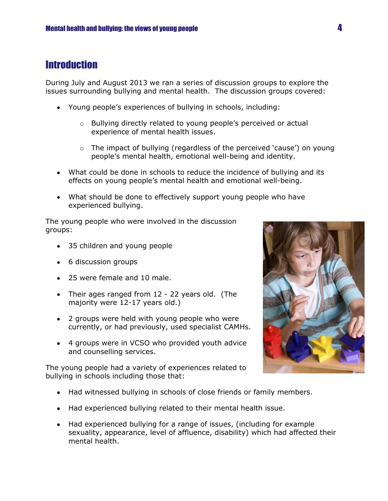## **Introduction**

During July and August 2013 we ran a series of discussion groups to explore the issues surrounding bullying and mental health. The discussion groups covered:

- Young people's experiences of bullying in schools, including:
	- o Bullying directly related to young people's perceived or actual experience of mental health issues.
	- $\circ$  The impact of bullying (regardless of the perceived 'cause') on young people's mental health, emotional well-being and identity.
- What could be done in schools to reduce the incidence of bullying and its effects on young people's mental health and emotional well-being.
- What should be done to effectively support young people who have experienced bullying.

The young people who were involved in the discussion groups:

- 35 children and young people
- 6 discussion groups
- 25 were female and 10 male.
- Their ages ranged from 12 22 years old. (The majority were 12-17 years old.)
- 2 groups were held with young people who were currently, or had previously, used specialist CAMHs.
- 4 groups were in VCSO who provided youth advice and counselling services.

The young people had a variety of experiences related to bullying in schools including those that:



- Had witnessed bullying in schools of close friends or family members.
- Had experienced bullying related to their mental health issue.
- Had experienced bullying for a range of issues, (including for example sexuality, appearance, level of affluence, disability) which had affected their mental health.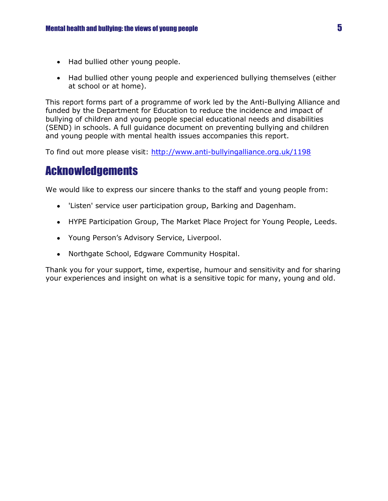- Had bullied other young people.
- Had bullied other young people and experienced bullying themselves (either at school or at home).

This report forms part of a programme of work led by the Anti-Bullying Alliance and funded by the Department for Education to reduce the incidence and impact of bullying of children and young people special educational needs and disabilities (SEND) in schools. A full guidance document on preventing bullying and children and young people with mental health issues accompanies this report.

To find out more please visit:<http://www.anti-bullyingalliance.org.uk/1198>

## Acknowledgements

We would like to express our sincere thanks to the staff and young people from:

- 'Listen' service user participation group, Barking and Dagenham.
- HYPE Participation Group, The Market Place Project for Young People, Leeds.
- Young Person's Advisory Service, Liverpool.
- Northgate School, Edgware Community Hospital.

Thank you for your support, time, expertise, humour and sensitivity and for sharing your experiences and insight on what is a sensitive topic for many, young and old.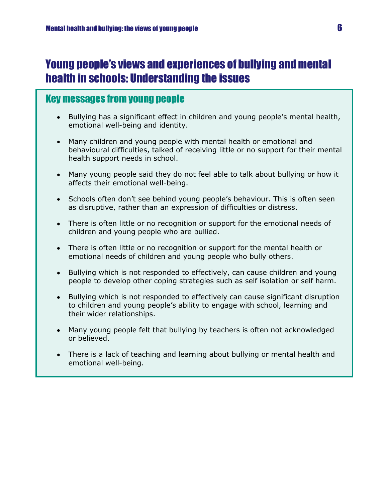# Young people's views and experiences of bullying and mental health in schools: Understanding the issues

### Key messages from young people

- Bullying has a significant effect in children and young people's mental health, emotional well-being and identity.
- Many children and young people with mental health or emotional and behavioural difficulties, talked of receiving little or no support for their mental health support needs in school.
- Many young people said they do not feel able to talk about bullying or how it affects their emotional well-being.
- Schools often don't see behind young people's behaviour. This is often seen as disruptive, rather than an expression of difficulties or distress.
- There is often little or no recognition or support for the emotional needs of children and young people who are bullied.
- There is often little or no recognition or support for the mental health or emotional needs of children and young people who bully others.
- Bullying which is not responded to effectively, can cause children and young people to develop other coping strategies such as self isolation or self harm.
- Bullying which is not responded to effectively can cause significant disruption to children and young people's ability to engage with school, learning and their wider relationships.
- Many young people felt that bullying by teachers is often not acknowledged or believed.
- There is a lack of teaching and learning about bullying or mental health and emotional well-being.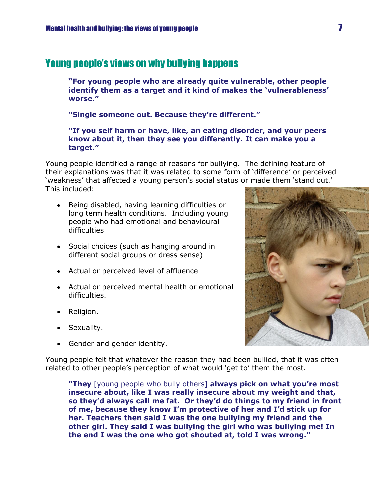## Young people's views on why bullying happens

**"For young people who are already quite vulnerable, other people identify them as a target and it kind of makes the 'vulnerableness' worse."**

**"Single someone out. Because they're different."**

#### **"If you self harm or have, like, an eating disorder, and your peers know about it, then they see you differently. It can make you a target."**

Young people identified a range of reasons for bullying. The defining feature of their explanations was that it was related to some form of 'difference' or perceived 'weakness' that affected a young person's social status or made them 'stand out.' This included:

- Being disabled, having learning difficulties or long term health conditions. Including young people who had emotional and behavioural difficulties
- Social choices (such as hanging around in different social groups or dress sense)
- Actual or perceived level of affluence
- Actual or perceived mental health or emotional difficulties.
- Religion.
- Sexuality.
- Gender and gender identity.



Young people felt that whatever the reason they had been bullied, that it was often related to other people's perception of what would 'get to' them the most.

**"They** [young people who bully others] **always pick on what you're most insecure about, like I was really insecure about my weight and that, so they'd always call me fat. Or they'd do things to my friend in front of me, because they know I'm protective of her and I'd stick up for her. Teachers then said I was the one bullying my friend and the other girl. They said I was bullying the girl who was bullying me! In the end I was the one who got shouted at, told I was wrong."**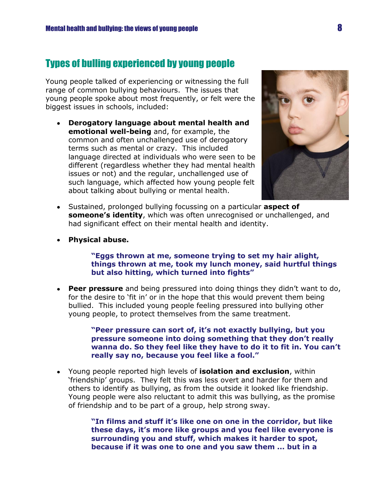## Types of bulling experienced by young people

Young people talked of experiencing or witnessing the full range of common bullying behaviours. The issues that young people spoke about most frequently, or felt were the biggest issues in schools, included:

**Derogatory language about mental health and emotional well-being** and, for example, the common and often unchallenged use of derogatory terms such as mental or crazy. This included language directed at individuals who were seen to be different (regardless whether they had mental health issues or not) and the regular, unchallenged use of such language, which affected how young people felt about talking about bullying or mental health.



- Sustained, prolonged bullying focussing on a particular **aspect of someone's identity**, which was often unrecognised or unchallenged, and had significant effect on their mental health and identity.
- **Physical abuse.**

#### **"Eggs thrown at me, someone trying to set my hair alight, things thrown at me, took my lunch money, said hurtful things but also hitting, which turned into fights"**

**Peer pressure** and being pressured into doing things they didn't want to do, for the desire to 'fit in' or in the hope that this would prevent them being bullied. This included young people feeling pressured into bullying other young people, to protect themselves from the same treatment.

#### **"Peer pressure can sort of, it's not exactly bullying, but you pressure someone into doing something that they don't really wanna do. So they feel like they have to do it to fit in. You can't really say no, because you feel like a fool."**

Young people reported high levels of **isolation and exclusion**, within 'friendship' groups. They felt this was less overt and harder for them and others to identify as bullying, as from the outside it looked like friendship. Young people were also reluctant to admit this was bullying, as the promise of friendship and to be part of a group, help strong sway.

> **"In films and stuff it's like one on one in the corridor, but like these days, it's more like groups and you feel like everyone is surrounding you and stuff, which makes it harder to spot, because if it was one to one and you saw them ... but in a**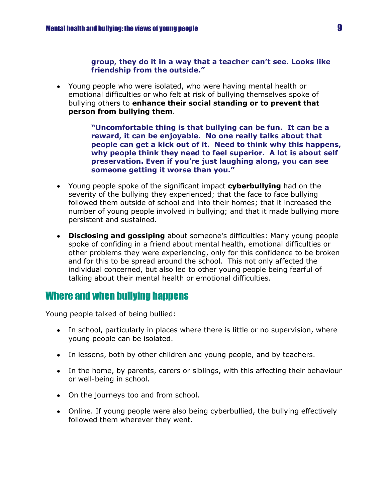#### **group, they do it in a way that a teacher can't see. Looks like friendship from the outside."**

Young people who were isolated, who were having mental health or emotional difficulties or who felt at risk of bullying themselves spoke of bullying others to **enhance their social standing or to prevent that person from bullying them**.

> **"Uncomfortable thing is that bullying can be fun. It can be a reward, it can be enjoyable. No one really talks about that people can get a kick out of it. Need to think why this happens, why people think they need to feel superior. A lot is about self preservation. Even if you're just laughing along, you can see someone getting it worse than you."**

- Young people spoke of the significant impact **cyberbullying** had on the severity of the bullying they experienced; that the face to face bullying followed them outside of school and into their homes; that it increased the number of young people involved in bullying; and that it made bullying more persistent and sustained.
- **Disclosing and gossiping** about someone's difficulties: Many young people spoke of confiding in a friend about mental health, emotional difficulties or other problems they were experiencing, only for this confidence to be broken and for this to be spread around the school. This not only affected the individual concerned, but also led to other young people being fearful of talking about their mental health or emotional difficulties.

## Where and when bullying happens

Young people talked of being bullied:

- In school, particularly in places where there is little or no supervision, where young people can be isolated.
- In lessons, both by other children and young people, and by teachers.
- In the home, by parents, carers or siblings, with this affecting their behaviour or well-being in school.
- On the journeys too and from school.
- Online. If young people were also being cyberbullied, the bullying effectively followed them wherever they went.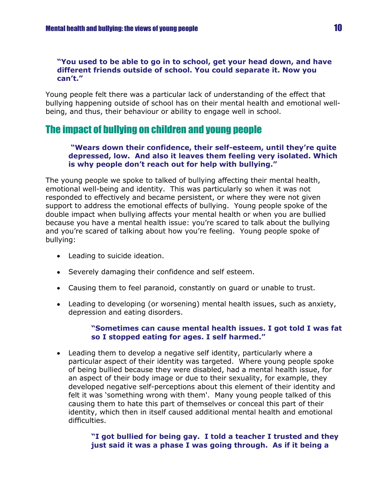#### **"You used to be able to go in to school, get your head down, and have different friends outside of school. You could separate it. Now you can't."**

Young people felt there was a particular lack of understanding of the effect that bullying happening outside of school has on their mental health and emotional wellbeing, and thus, their behaviour or ability to engage well in school.

## The impact of bullying on children and young people

#### **"Wears down their confidence, their self-esteem, until they're quite depressed, low. And also it leaves them feeling very isolated. Which is why people don't reach out for help with bullying."**

The young people we spoke to talked of bullying affecting their mental health, emotional well-being and identity. This was particularly so when it was not responded to effectively and became persistent, or where they were not given support to address the emotional effects of bullying. Young people spoke of the double impact when bullying affects your mental health or when you are bullied because you have a mental health issue: you're scared to talk about the bullying and you're scared of talking about how you're feeling. Young people spoke of bullying:

- Leading to suicide ideation.
- Severely damaging their confidence and self esteem.
- Causing them to feel paranoid, constantly on guard or unable to trust.
- Leading to developing (or worsening) mental health issues, such as anxiety, depression and eating disorders.

#### **"Sometimes can cause mental health issues. I got told I was fat so I stopped eating for ages. I self harmed."**

Leading them to develop a negative self identity, particularly where a particular aspect of their identity was targeted. Where young people spoke of being bullied because they were disabled, had a mental health issue, for an aspect of their body image or due to their sexuality, for example, they developed negative self-perceptions about this element of their identity and felt it was 'something wrong with them'. Many young people talked of this causing them to hate this part of themselves or conceal this part of their identity, which then in itself caused additional mental health and emotional difficulties.

#### **"I got bullied for being gay. I told a teacher I trusted and they just said it was a phase I was going through. As if it being a**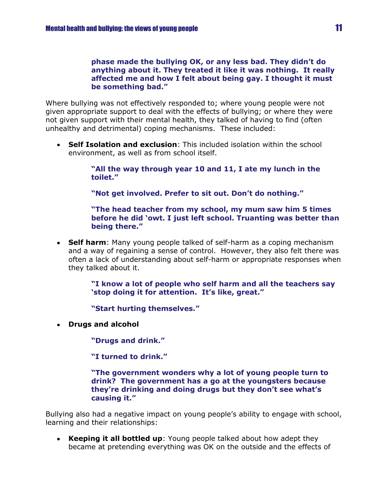#### **phase made the bullying OK, or any less bad. They didn't do anything about it. They treated it like it was nothing. It really affected me and how I felt about being gay. I thought it must be something bad."**

Where bullying was not effectively responded to; where young people were not given appropriate support to deal with the effects of bullying; or where they were not given support with their mental health, they talked of having to find (often unhealthy and detrimental) coping mechanisms. These included:

**Self Isolation and exclusion**: This included isolation within the school environment, as well as from school itself.

> **"All the way through year 10 and 11, I ate my lunch in the toilet."**

**"Not get involved. Prefer to sit out. Don't do nothing."**

**"The head teacher from my school, my mum saw him 5 times before he did 'owt. I just left school. Truanting was better than being there."**

**Self harm**: Many young people talked of self-harm as a coping mechanism and a way of regaining a sense of control. However, they also felt there was often a lack of understanding about self-harm or appropriate responses when they talked about it.

> **"I know a lot of people who self harm and all the teachers say 'stop doing it for attention. It's like, great."**

**"Start hurting themselves."**

**Drugs and alcohol**

**"Drugs and drink."**

**"I turned to drink."**

**"The government wonders why a lot of young people turn to drink? The government has a go at the youngsters because they're drinking and doing drugs but they don't see what's causing it."**

Bullying also had a negative impact on young people's ability to engage with school, learning and their relationships:

**Keeping it all bottled up**: Young people talked about how adept they became at pretending everything was OK on the outside and the effects of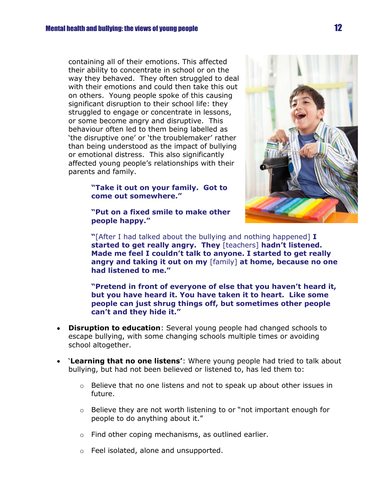containing all of their emotions. This affected their ability to concentrate in school or on the way they behaved. They often struggled to deal with their emotions and could then take this out on others. Young people spoke of this causing significant disruption to their school life: they struggled to engage or concentrate in lessons, or some become angry and disruptive. This behaviour often led to them being labelled as 'the disruptive one' or 'the troublemaker' rather than being understood as the impact of bullying or emotional distress. This also significantly affected young people's relationships with their parents and family.

#### **"Take it out on your family. Got to come out somewhere."**



**"Put on a fixed smile to make other people happy."**

**"**[After I had talked about the bullying and nothing happened] **I started to get really angry. They** [teachers] **hadn't listened. Made me feel I couldn't talk to anyone. I started to get really angry and taking it out on my** [family] **at home, because no one had listened to me."**

**"Pretend in front of everyone of else that you haven't heard it, but you have heard it. You have taken it to heart. Like some people can just shrug things off, but sometimes other people can't and they hide it."**

- **Disruption to education**: Several young people had changed schools to escape bullying, with some changing schools multiple times or avoiding school altogether.
- '**Learning that no one listens'**: Where young people had tried to talk about bullying, but had not been believed or listened to, has led them to:
	- $\circ$  Believe that no one listens and not to speak up about other issues in future.
	- o Believe they are not worth listening to or "not important enough for people to do anything about it."
	- o Find other coping mechanisms, as outlined earlier.
	- o Feel isolated, alone and unsupported.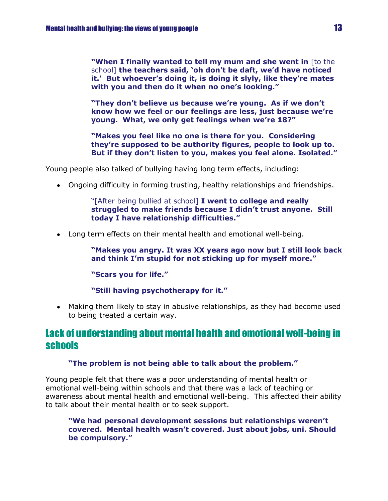**"When I finally wanted to tell my mum and she went in** [to the school] **the teachers said, 'oh don't be daft, we'd have noticed it.' But whoever's doing it, is doing it slyly, like they're mates with you and then do it when no one's looking."**

**"They don't believe us because we're young. As if we don't know how we feel or our feelings are less, just because we're young. What, we only get feelings when we're 18?"**

**"Makes you feel like no one is there for you. Considering they're supposed to be authority figures, people to look up to. But if they don't listen to you, makes you feel alone. Isolated."**

Young people also talked of bullying having long term effects, including:

Ongoing difficulty in forming trusting, healthy relationships and friendships.

"[After being bullied at school] **I went to college and really struggled to make friends because I didn't trust anyone. Still today I have relationship difficulties."**

Long term effects on their mental health and emotional well-being.

**"Makes you angry. It was XX years ago now but I still look back and think I'm stupid for not sticking up for myself more."**

**"Scars you for life."**

**"Still having psychotherapy for it."**

Making them likely to stay in abusive relationships, as they had become used to being treated a certain way.

## Lack of understanding about mental health and emotional well-being in schools

**"The problem is not being able to talk about the problem."**

Young people felt that there was a poor understanding of mental health or emotional well-being within schools and that there was a lack of teaching or awareness about mental health and emotional well-being. This affected their ability to talk about their mental health or to seek support.

**"We had personal development sessions but relationships weren't covered. Mental health wasn't covered. Just about jobs, uni. Should be compulsory."**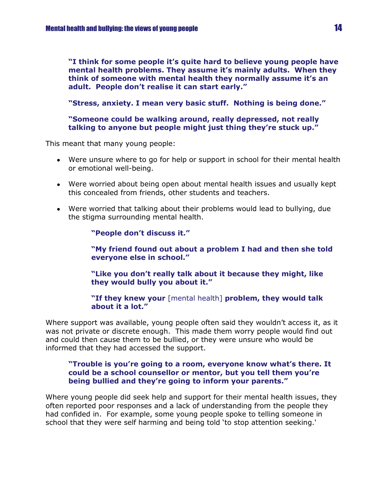**"I think for some people it's quite hard to believe young people have mental health problems. They assume it's mainly adults. When they think of someone with mental health they normally assume it's an adult. People don't realise it can start early."**

**"Stress, anxiety. I mean very basic stuff. Nothing is being done."**

**"Someone could be walking around, really depressed, not really talking to anyone but people might just thing they're stuck up."**

This meant that many young people:

- Were unsure where to go for help or support in school for their mental health or emotional well-being.
- Were worried about being open about mental health issues and usually kept this concealed from friends, other students and teachers.
- Were worried that talking about their problems would lead to bullying, due the stigma surrounding mental health.

**"People don't discuss it."**

**"My friend found out about a problem I had and then she told everyone else in school."**

**"Like you don't really talk about it because they might, like they would bully you about it."**

**"If they knew your** [mental health] **problem, they would talk about it a lot."**

Where support was available, young people often said they wouldn't access it, as it was not private or discrete enough. This made them worry people would find out and could then cause them to be bullied, or they were unsure who would be informed that they had accessed the support.

#### **"Trouble is you're going to a room, everyone know what's there. It could be a school counsellor or mentor, but you tell them you're being bullied and they're going to inform your parents."**

Where young people did seek help and support for their mental health issues, they often reported poor responses and a lack of understanding from the people they had confided in. For example, some young people spoke to telling someone in school that they were self harming and being told 'to stop attention seeking.'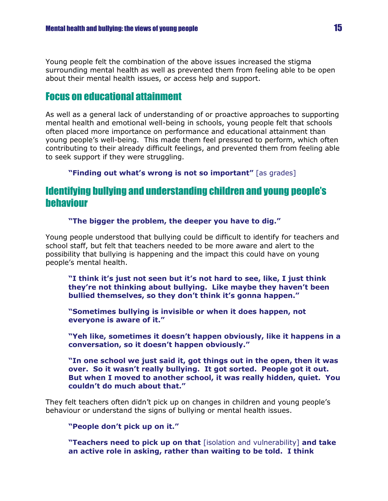Young people felt the combination of the above issues increased the stigma surrounding mental health as well as prevented them from feeling able to be open about their mental health issues, or access help and support.

## Focus on educational attainment

As well as a general lack of understanding of or proactive approaches to supporting mental health and emotional well-being in schools, young people felt that schools often placed more importance on performance and educational attainment than young people's well-being. This made them feel pressured to perform, which often contributing to their already difficult feelings, and prevented them from feeling able to seek support if they were struggling.

#### **"Finding out what's wrong is not so important"** [as grades]

## Identifying bullying and understanding children and young people's behaviour

#### **"The bigger the problem, the deeper you have to dig."**

Young people understood that bullying could be difficult to identify for teachers and school staff, but felt that teachers needed to be more aware and alert to the possibility that bullying is happening and the impact this could have on young people's mental health.

**"I think it's just not seen but it's not hard to see, like, I just think they're not thinking about bullying. Like maybe they haven't been bullied themselves, so they don't think it's gonna happen."**

**"Sometimes bullying is invisible or when it does happen, not everyone is aware of it."**

**"Yeh like, sometimes it doesn't happen obviously, like it happens in a conversation, so it doesn't happen obviously."**

**"In one school we just said it, got things out in the open, then it was over. So it wasn't really bullying. It got sorted. People got it out. But when I moved to another school, it was really hidden, quiet. You couldn't do much about that."**

They felt teachers often didn't pick up on changes in children and young people's behaviour or understand the signs of bullying or mental health issues.

#### **"People don't pick up on it."**

**"Teachers need to pick up on that** [isolation and vulnerability] **and take an active role in asking, rather than waiting to be told. I think**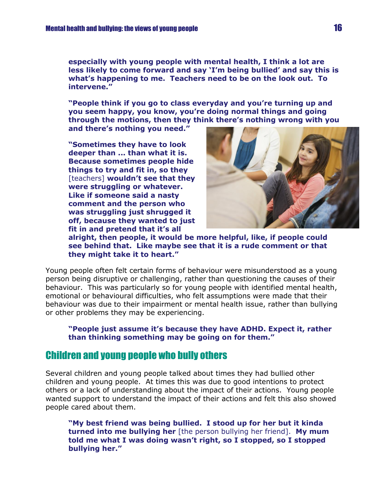**especially with young people with mental health, I think a lot are less likely to come forward and say 'I'm being bullied' and say this is what's happening to me. Teachers need to be on the look out. To intervene."**

**"People think if you go to class everyday and you're turning up and you seem happy, you know, you're doing normal things and going through the motions, then they think there's nothing wrong with you** 

**and there's nothing you need."**

**"Sometimes they have to look deeper than ... than what it is. Because sometimes people hide things to try and fit in, so they**  [teachers] **wouldn't see that they were struggling or whatever. Like if someone said a nasty comment and the person who was struggling just shrugged it off, because they wanted to just fit in and pretend that it's all** 



**alright, then people, it would be more helpful, like, if people could see behind that. Like maybe see that it is a rude comment or that they might take it to heart."**

Young people often felt certain forms of behaviour were misunderstood as a young person being disruptive or challenging, rather than questioning the causes of their behaviour. This was particularly so for young people with identified mental health, emotional or behavioural difficulties, who felt assumptions were made that their behaviour was due to their impairment or mental health issue, rather than bullying or other problems they may be experiencing.

#### **"People just assume it's because they have ADHD. Expect it, rather than thinking something may be going on for them."**

## Children and young people who bully others

Several children and young people talked about times they had bullied other children and young people. At times this was due to good intentions to protect others or a lack of understanding about the impact of their actions. Young people wanted support to understand the impact of their actions and felt this also showed people cared about them.

**"My best friend was being bullied. I stood up for her but it kinda turned into me bullying her** [the person bullying her friend]. **My mum told me what I was doing wasn't right, so I stopped, so I stopped bullying her."**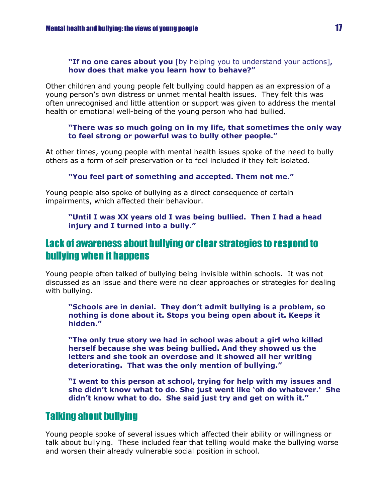#### **"If no one cares about you** [by helping you to understand your actions]**, how does that make you learn how to behave?"**

Other children and young people felt bullying could happen as an expression of a young person's own distress or unmet mental health issues. They felt this was often unrecognised and little attention or support was given to address the mental health or emotional well-being of the young person who had bullied.

#### **"There was so much going on in my life, that sometimes the only way to feel strong or powerful was to bully other people."**

At other times, young people with mental health issues spoke of the need to bully others as a form of self preservation or to feel included if they felt isolated.

#### **"You feel part of something and accepted. Them not me."**

Young people also spoke of bullying as a direct consequence of certain impairments, which affected their behaviour.

#### **"Until I was XX years old I was being bullied. Then I had a head injury and I turned into a bully."**

## Lack of awareness about bullying or clear strategies to respond to bullying when it happens

Young people often talked of bullying being invisible within schools. It was not discussed as an issue and there were no clear approaches or strategies for dealing with bullying.

**"Schools are in denial. They don't admit bullying is a problem, so nothing is done about it. Stops you being open about it. Keeps it hidden."**

**"The only true story we had in school was about a girl who killed herself because she was being bullied. And they showed us the letters and she took an overdose and it showed all her writing deteriorating. That was the only mention of bullying."**

**"I went to this person at school, trying for help with my issues and she didn't know what to do. She just went like 'oh do whatever.' She didn't know what to do. She said just try and get on with it."**

## Talking about bullying

Young people spoke of several issues which affected their ability or willingness or talk about bullying. These included fear that telling would make the bullying worse and worsen their already vulnerable social position in school.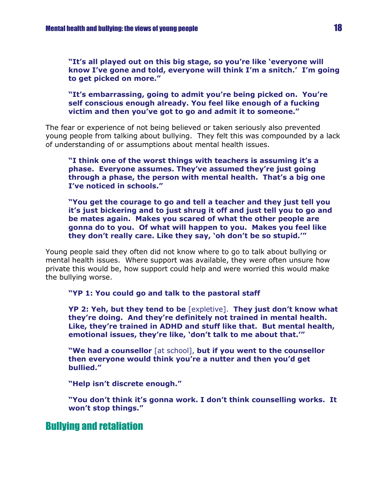**"It's all played out on this big stage, so you're like 'everyone will know I've gone and told, everyone will think I'm a snitch.' I'm going to get picked on more."**

**"It's embarrassing, going to admit you're being picked on. You're self conscious enough already. You feel like enough of a fucking victim and then you've got to go and admit it to someone."**

The fear or experience of not being believed or taken seriously also prevented young people from talking about bullying. They felt this was compounded by a lack of understanding of or assumptions about mental health issues.

**"I think one of the worst things with teachers is assuming it's a phase. Everyone assumes. They've assumed they're just going through a phase, the person with mental health. That's a big one I've noticed in schools."**

**"You get the courage to go and tell a teacher and they just tell you it's just bickering and to just shrug it off and just tell you to go and be mates again. Makes you scared of what the other people are gonna do to you. Of what will happen to you. Makes you feel like they don't really care. Like they say, 'oh don't be so stupid.'"**

Young people said they often did not know where to go to talk about bullying or mental health issues. Where support was available, they were often unsure how private this would be, how support could help and were worried this would make the bullying worse.

**"YP 1: You could go and talk to the pastoral staff**

**YP 2: Yeh, but they tend to be** [expletive]. **They just don't know what they're doing. And they're definitely not trained in mental health. Like, they're trained in ADHD and stuff like that. But mental health, emotional issues, they're like, 'don't talk to me about that.'"**

**"We had a counsellor** [at school], **but if you went to the counsellor then everyone would think you're a nutter and then you'd get bullied."**

**"Help isn't discrete enough."**

**"You don't think it's gonna work. I don't think counselling works. It won't stop things."**

## Bullying and retaliation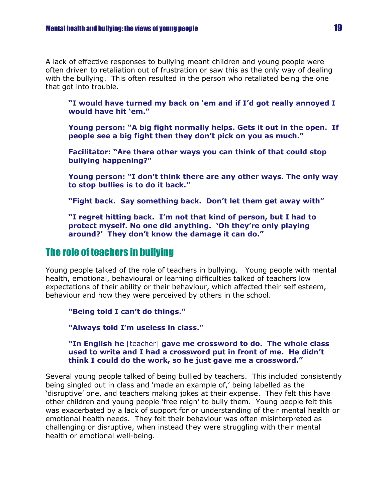A lack of effective responses to bullying meant children and young people were often driven to retaliation out of frustration or saw this as the only way of dealing with the bullying. This often resulted in the person who retaliated being the one that got into trouble.

**"I would have turned my back on 'em and if I'd got really annoyed I would have hit 'em."**

**Young person: "A big fight normally helps. Gets it out in the open. If people see a big fight then they don't pick on you as much."**

**Facilitator: "Are there other ways you can think of that could stop bullying happening?"**

**Young person: "I don't think there are any other ways. The only way to stop bullies is to do it back."**

**"Fight back. Say something back. Don't let them get away with"**

**"I regret hitting back. I'm not that kind of person, but I had to protect myself. No one did anything. 'Oh they're only playing around?' They don't know the damage it can do."**

## The role of teachers in bullying

Young people talked of the role of teachers in bullying. Young people with mental health, emotional, behavioural or learning difficulties talked of teachers low expectations of their ability or their behaviour, which affected their self esteem, behaviour and how they were perceived by others in the school.

**"Being told I can't do things."**

**"Always told I'm useless in class."**

#### **"In English he** [teacher] **gave me crossword to do. The whole class used to write and I had a crossword put in front of me. He didn't think I could do the work, so he just gave me a crossword."**

Several young people talked of being bullied by teachers. This included consistently being singled out in class and 'made an example of,' being labelled as the 'disruptive' one, and teachers making jokes at their expense. They felt this have other children and young people 'free reign' to bully them. Young people felt this was exacerbated by a lack of support for or understanding of their mental health or emotional health needs. They felt their behaviour was often misinterpreted as challenging or disruptive, when instead they were struggling with their mental health or emotional well-being.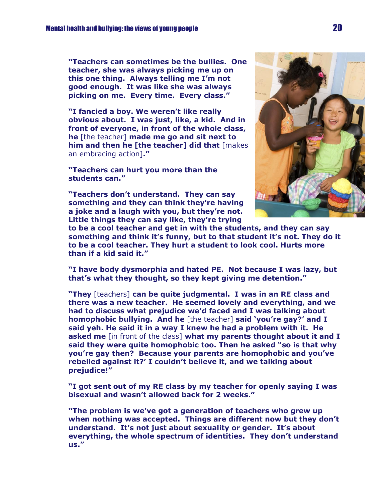**"Teachers can sometimes be the bullies. One teacher, she was always picking me up on this one thing. Always telling me I'm not good enough. It was like she was always picking on me. Every time. Every class."**

**"I fancied a boy. We weren't like really obvious about. I was just, like, a kid. And in front of everyone, in front of the whole class, he** [the teacher] **made me go and sit next to him and then he [the teacher] did that** [makes an embracing action]**."**

**"Teachers can hurt you more than the students can."**

**"Teachers don't understand. They can say something and they can think they're having a joke and a laugh with you, but they're not. Little things they can say like, they're trying** 



**to be a cool teacher and get in with the students, and they can say something and think it's funny, but to that student it's not. They do it to be a cool teacher. They hurt a student to look cool. Hurts more than if a kid said it."**

**"I have body dysmorphia and hated PE. Not because I was lazy, but that's what they thought, so they kept giving me detention."**

**"They** [teachers] **can be quite judgmental. I was in an RE class and there was a new teacher. He seemed lovely and everything, and we had to discuss what prejudice we'd faced and I was talking about homophobic bullying. And he** [the teacher] **said 'you're gay?' and I said yeh. He said it in a way I knew he had a problem with it. He asked me** [in front of the class] **what my parents thought about it and I said they were quite homophobic too. Then he asked "so is that why you're gay then? Because your parents are homophobic and you've rebelled against it?' I couldn't believe it, and we talking about prejudice!"**

**"I got sent out of my RE class by my teacher for openly saying I was bisexual and wasn't allowed back for 2 weeks."**

**"The problem is we've got a generation of teachers who grew up when nothing was accepted. Things are different now but they don't understand. It's not just about sexuality or gender. It's about everything, the whole spectrum of identities. They don't understand us."**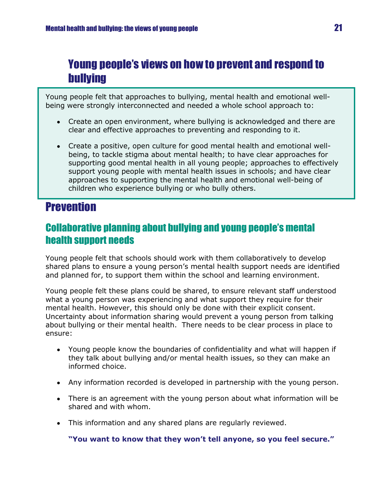# Young people's views on how to prevent and respond to bullying

Young people felt that approaches to bullying, mental health and emotional wellbeing were strongly interconnected and needed a whole school approach to:

- Create an open environment, where bullying is acknowledged and there are clear and effective approaches to preventing and responding to it.
- Create a positive, open culture for good mental health and emotional wellbeing, to tackle stigma about mental health; to have clear approaches for supporting good mental health in all young people; approaches to effectively support young people with mental health issues in schools; and have clear approaches to supporting the mental health and emotional well-being of children who experience bullying or who bully others.

# **Prevention**

## Collaborative planning about bullying and young people's mental health support needs

Young people felt that schools should work with them collaboratively to develop shared plans to ensure a young person's mental health support needs are identified and planned for, to support them within the school and learning environment.

Young people felt these plans could be shared, to ensure relevant staff understood what a young person was experiencing and what support they require for their mental health. However, this should only be done with their explicit consent. Uncertainty about information sharing would prevent a young person from talking about bullying or their mental health. There needs to be clear process in place to ensure:

- Young people know the boundaries of confidentiality and what will happen if they talk about bullying and/or mental health issues, so they can make an informed choice.
- Any information recorded is developed in partnership with the young person.
- There is an agreement with the young person about what information will be shared and with whom.
- This information and any shared plans are regularly reviewed.  $\bullet$

**"You want to know that they won't tell anyone, so you feel secure."**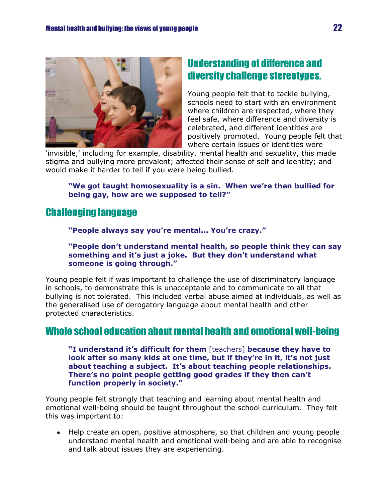

## Understanding of difference and diversity challenge stereotypes.

Young people felt that to tackle bullying, schools need to start with an environment where children are respected, where they feel safe, where difference and diversity is celebrated, and different identities are positively promoted. Young people felt that where certain issues or identities were

'invisible,' including for example, disability, mental health and sexuality, this made stigma and bullying more prevalent; affected their sense of self and identity; and would make it harder to tell if you were being bullied.

#### **"We got taught homosexuality is a sin. When we're then bullied for being gay, how are we supposed to tell?"**

## Challenging language

**"People always say you're mental... You're crazy."**

**"People don't understand mental health, so people think they can say something and it's just a joke. But they don't understand what someone is going through."**

Young people felt if was important to challenge the use of discriminatory language in schools, to demonstrate this is unacceptable and to communicate to all that bullying is not tolerated. This included verbal abuse aimed at individuals, as well as the generalised use of derogatory language about mental health and other protected characteristics.

## Whole school education about mental health and emotional well-being

**"I understand it's difficult for them** [teachers] **because they have to look after so many kids at one time, but if they're in it, it's not just about teaching a subject. It's about teaching people relationships. There's no point people getting good grades if they then can't function properly in society."**

Young people felt strongly that teaching and learning about mental health and emotional well-being should be taught throughout the school curriculum. They felt this was important to:

Help create an open, positive atmosphere, so that children and young people understand mental health and emotional well-being and are able to recognise and talk about issues they are experiencing.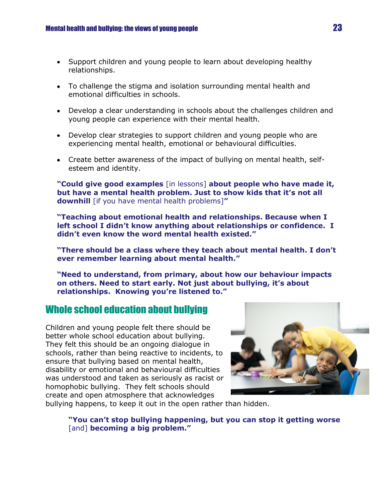- Support children and young people to learn about developing healthy relationships.
- To challenge the stigma and isolation surrounding mental health and emotional difficulties in schools.
- Develop a clear understanding in schools about the challenges children and young people can experience with their mental health.
- Develop clear strategies to support children and young people who are experiencing mental health, emotional or behavioural difficulties.
- Create better awareness of the impact of bullying on mental health, selfesteem and identity.

**"Could give good examples** [in lessons] **about people who have made it, but have a mental health problem. Just to show kids that it's not all downhill** [if you have mental health problems]**"**

**"Teaching about emotional health and relationships. Because when I left school I didn't know anything about relationships or confidence. I didn't even know the word mental health existed."**

**"There should be a class where they teach about mental health. I don't ever remember learning about mental health."**

**"Need to understand, from primary, about how our behaviour impacts on others. Need to start early. Not just about bullying, it's about relationships. Knowing you're listened to."**

## Whole school education about bullying

Children and young people felt there should be better whole school education about bullying. They felt this should be an ongoing dialogue in schools, rather than being reactive to incidents, to ensure that bullying based on mental health, disability or emotional and behavioural difficulties was understood and taken as seriously as racist or homophobic bullying. They felt schools should create and open atmosphere that acknowledges



bullying happens, to keep it out in the open rather than hidden.

**"You can't stop bullying happening, but you can stop it getting worse**  [and] **becoming a big problem."**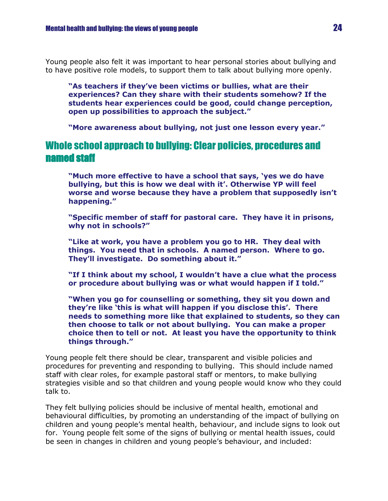Young people also felt it was important to hear personal stories about bullying and to have positive role models, to support them to talk about bullying more openly.

**"As teachers if they've been victims or bullies, what are their experiences? Can they share with their students somehow? If the students hear experiences could be good, could change perception, open up possibilities to approach the subject."**

**"More awareness about bullying, not just one lesson every year."**

## Whole school approach to bullying: Clear policies, procedures and named staff

**"Much more effective to have a school that says, 'yes we do have bullying, but this is how we deal with it'. Otherwise YP will feel worse and worse because they have a problem that supposedly isn't happening."**

**"Specific member of staff for pastoral care. They have it in prisons, why not in schools?"**

**"Like at work, you have a problem you go to HR. They deal with things. You need that in schools. A named person. Where to go. They'll investigate. Do something about it."**

**"If I think about my school, I wouldn't have a clue what the process or procedure about bullying was or what would happen if I told."**

**"When you go for counselling or something, they sit you down and they're like 'this is what will happen if you disclose this'. There needs to something more like that explained to students, so they can then choose to talk or not about bullying. You can make a proper choice then to tell or not. At least you have the opportunity to think things through."**

Young people felt there should be clear, transparent and visible policies and procedures for preventing and responding to bullying. This should include named staff with clear roles, for example pastoral staff or mentors, to make bullying strategies visible and so that children and young people would know who they could talk to.

They felt bullying policies should be inclusive of mental health, emotional and behavioural difficulties, by promoting an understanding of the impact of bullying on children and young people's mental health, behaviour, and include signs to look out for. Young people felt some of the signs of bullying or mental health issues, could be seen in changes in children and young people's behaviour, and included: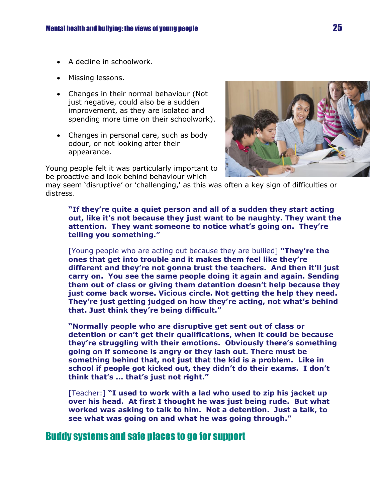- A decline in schoolwork.
- Missing lessons.
- Changes in their normal behaviour (Not just negative, could also be a sudden improvement, as they are isolated and spending more time on their schoolwork).
- Changes in personal care, such as body odour, or not looking after their appearance.

Young people felt it was particularly important to be proactive and look behind behaviour which

may seem 'disruptive' or 'challenging,' as this was often a key sign of difficulties or distress.

**"If they're quite a quiet person and all of a sudden they start acting out, like it's not because they just want to be naughty. They want the attention. They want someone to notice what's going on. They're telling you something."**

[Young people who are acting out because they are bullied] **"They're the ones that get into trouble and it makes them feel like they're different and they're not gonna trust the teachers. And then it'll just carry on. You see the same people doing it again and again. Sending them out of class or giving them detention doesn't help because they just come back worse. Vicious circle. Not getting the help they need. They're just getting judged on how they're acting, not what's behind that. Just think they're being difficult."**

**"Normally people who are disruptive get sent out of class or detention or can't get their qualifications, when it could be because they're struggling with their emotions. Obviously there's something going on if someone is angry or they lash out. There must be something behind that, not just that the kid is a problem. Like in school if people got kicked out, they didn't do their exams. I don't think that's ... that's just not right."**

[Teacher:] **"I used to work with a lad who used to zip his jacket up over his head. At first I thought he was just being rude. But what worked was asking to talk to him. Not a detention. Just a talk, to see what was going on and what he was going through."**

### Buddy systems and safe places to go for support

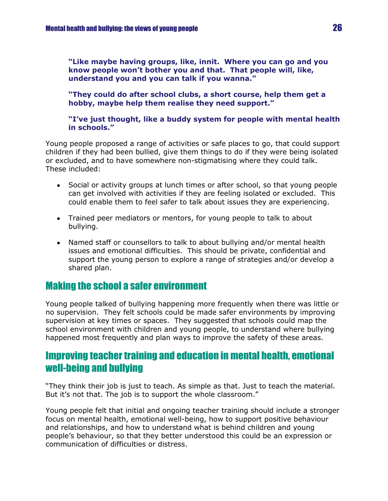**"Like maybe having groups, like, innit. Where you can go and you know people won't bother you and that. That people will, like, understand you and you can talk if you wanna."**

**"They could do after school clubs, a short course, help them get a hobby, maybe help them realise they need support."**

**"I've just thought, like a buddy system for people with mental health in schools."**

Young people proposed a range of activities or safe places to go, that could support children if they had been bullied, give them things to do if they were being isolated or excluded, and to have somewhere non-stigmatising where they could talk. These included:

- Social or activity groups at lunch times or after school, so that young people can get involved with activities if they are feeling isolated or excluded. This could enable them to feel safer to talk about issues they are experiencing.
- Trained peer mediators or mentors, for young people to talk to about bullying.
- Named staff or counsellors to talk to about bullying and/or mental health issues and emotional difficulties. This should be private, confidential and support the young person to explore a range of strategies and/or develop a shared plan.

## Making the school a safer environment

Young people talked of bullying happening more frequently when there was little or no supervision. They felt schools could be made safer environments by improving supervision at key times or spaces. They suggested that schools could map the school environment with children and young people, to understand where bullying happened most frequently and plan ways to improve the safety of these areas.

## Improving teacher training and education in mental health, emotional well-being and bullying

"They think their job is just to teach. As simple as that. Just to teach the material. But it's not that. The job is to support the whole classroom."

Young people felt that initial and ongoing teacher training should include a stronger focus on mental health, emotional well-being, how to support positive behaviour and relationships, and how to understand what is behind children and young people's behaviour, so that they better understood this could be an expression or communication of difficulties or distress.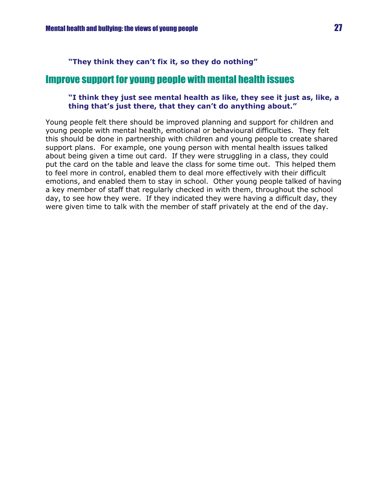**"They think they can't fix it, so they do nothing"**

## Improve support for young people with mental health issues

#### **"I think they just see mental health as like, they see it just as, like, a thing that's just there, that they can't do anything about."**

Young people felt there should be improved planning and support for children and young people with mental health, emotional or behavioural difficulties. They felt this should be done in partnership with children and young people to create shared support plans. For example, one young person with mental health issues talked about being given a time out card. If they were struggling in a class, they could put the card on the table and leave the class for some time out. This helped them to feel more in control, enabled them to deal more effectively with their difficult emotions, and enabled them to stay in school. Other young people talked of having a key member of staff that regularly checked in with them, throughout the school day, to see how they were. If they indicated they were having a difficult day, they were given time to talk with the member of staff privately at the end of the day.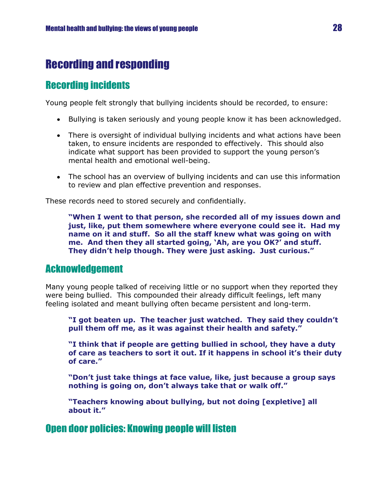## Recording and responding

## Recording incidents

Young people felt strongly that bullying incidents should be recorded, to ensure:

- Bullying is taken seriously and young people know it has been acknowledged.
- There is oversight of individual bullying incidents and what actions have been taken, to ensure incidents are responded to effectively. This should also indicate what support has been provided to support the young person's mental health and emotional well-being.
- The school has an overview of bullying incidents and can use this information to review and plan effective prevention and responses.

These records need to stored securely and confidentially.

**"When I went to that person, she recorded all of my issues down and just, like, put them somewhere where everyone could see it. Had my name on it and stuff. So all the staff knew what was going on with me. And then they all started going, 'Ah, are you OK?' and stuff. They didn't help though. They were just asking. Just curious."**

## Acknowledgement

Many young people talked of receiving little or no support when they reported they were being bullied. This compounded their already difficult feelings, left many feeling isolated and meant bullying often became persistent and long-term.

**"I got beaten up. The teacher just watched. They said they couldn't pull them off me, as it was against their health and safety."**

**"I think that if people are getting bullied in school, they have a duty of care as teachers to sort it out. If it happens in school it's their duty of care."**

**"Don't just take things at face value, like, just because a group says nothing is going on, don't always take that or walk off."**

**"Teachers knowing about bullying, but not doing [expletive] all about it."**

## Open door policies: Knowing people will listen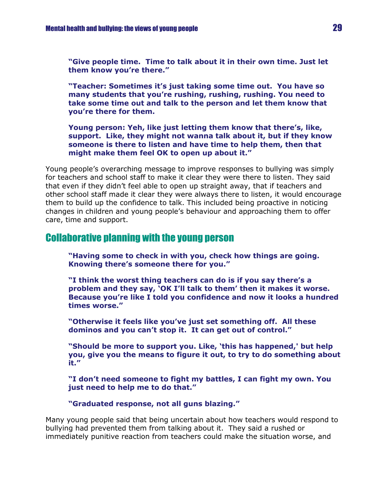**"Give people time. Time to talk about it in their own time. Just let them know you're there."**

**"Teacher: Sometimes it's just taking some time out. You have so many students that you're rushing, rushing, rushing. You need to take some time out and talk to the person and let them know that you're there for them.**

**Young person: Yeh, like just letting them know that there's, like, support. Like, they might not wanna talk about it, but if they know someone is there to listen and have time to help them, then that might make them feel OK to open up about it."**

Young people's overarching message to improve responses to bullying was simply for teachers and school staff to make it clear they were there to listen. They said that even if they didn't feel able to open up straight away, that if teachers and other school staff made it clear they were always there to listen, it would encourage them to build up the confidence to talk. This included being proactive in noticing changes in children and young people's behaviour and approaching them to offer care, time and support.

## Collaborative planning with the young person

**"Having some to check in with you, check how things are going. Knowing there's someone there for you."**

**"I think the worst thing teachers can do is if you say there's a problem and they say, 'OK I'll talk to them' then it makes it worse. Because you're like I told you confidence and now it looks a hundred times worse."**

**"Otherwise it feels like you've just set something off. All these dominos and you can't stop it. It can get out of control."**

**"Should be more to support you. Like, 'this has happened,' but help you, give you the means to figure it out, to try to do something about it."**

**"I don't need someone to fight my battles, I can fight my own. You just need to help me to do that."**

**"Graduated response, not all guns blazing."**

Many young people said that being uncertain about how teachers would respond to bullying had prevented them from talking about it. They said a rushed or immediately punitive reaction from teachers could make the situation worse, and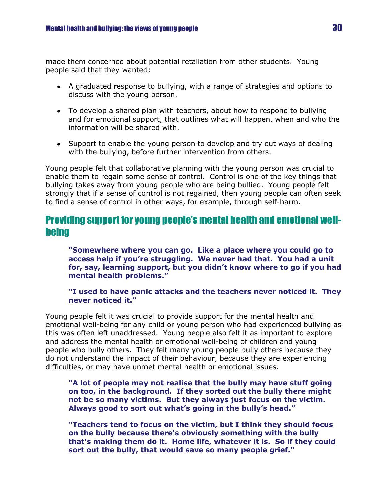made them concerned about potential retaliation from other students. Young people said that they wanted:

- A graduated response to bullying, with a range of strategies and options to discuss with the young person.
- To develop a shared plan with teachers, about how to respond to bullying and for emotional support, that outlines what will happen, when and who the information will be shared with.
- Support to enable the young person to develop and try out ways of dealing with the bullying, before further intervention from others.

Young people felt that collaborative planning with the young person was crucial to enable them to regain some sense of control. Control is one of the key things that bullying takes away from young people who are being bullied. Young people felt strongly that if a sense of control is not regained, then young people can often seek to find a sense of control in other ways, for example, through self-harm.

## Providing support for young people's mental health and emotional wellbeing

**"Somewhere where you can go. Like a place where you could go to access help if you're struggling. We never had that. You had a unit for, say, learning support, but you didn't know where to go if you had mental health problems."**

**"I used to have panic attacks and the teachers never noticed it. They never noticed it."**

Young people felt it was crucial to provide support for the mental health and emotional well-being for any child or young person who had experienced bullying as this was often left unaddressed. Young people also felt it as important to explore and address the mental health or emotional well-being of children and young people who bully others. They felt many young people bully others because they do not understand the impact of their behaviour, because they are experiencing difficulties, or may have unmet mental health or emotional issues.

**"A lot of people may not realise that the bully may have stuff going on too, in the background. If they sorted out the bully there might not be so many victims. But they always just focus on the victim. Always good to sort out what's going in the bully's head."**

**"Teachers tend to focus on the victim, but I think they should focus on the bully because there's obviously something with the bully that's making them do it. Home life, whatever it is. So if they could sort out the bully, that would save so many people grief."**